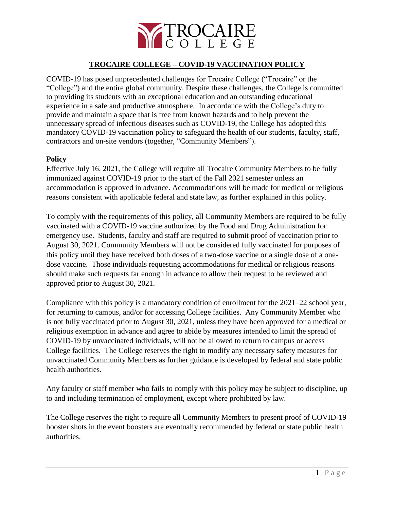

## **TROCAIRE COLLEGE – COVID-19 VACCINATION POLICY**

COVID-19 has posed unprecedented challenges for Trocaire College ("Trocaire" or the "College") and the entire global community. Despite these challenges, the College is committed to providing its students with an exceptional education and an outstanding educational experience in a safe and productive atmosphere. In accordance with the College's duty to provide and maintain a space that is free from known hazards and to help prevent the unnecessary spread of infectious diseases such as COVID-19, the College has adopted this mandatory COVID-19 vaccination policy to safeguard the health of our students, faculty, staff, contractors and on-site vendors (together, "Community Members").

### **Policy**

Effective July 16, 2021, the College will require all Trocaire Community Members to be fully immunized against COVID-19 prior to the start of the Fall 2021 semester unless an accommodation is approved in advance. Accommodations will be made for medical or religious reasons consistent with applicable federal and state law, as further explained in this policy.

To comply with the requirements of this policy, all Community Members are required to be fully vaccinated with a COVID-19 vaccine authorized by the Food and Drug Administration for emergency use. Students, faculty and staff are required to submit proof of vaccination prior to August 30, 2021. Community Members will not be considered fully vaccinated for purposes of this policy until they have received both doses of a two-dose vaccine or a single dose of a onedose vaccine. Those individuals requesting accommodations for medical or religious reasons should make such requests far enough in advance to allow their request to be reviewed and approved prior to August 30, 2021.

Compliance with this policy is a mandatory condition of enrollment for the 2021–22 school year, for returning to campus, and/or for accessing College facilities. Any Community Member who is not fully vaccinated prior to August 30, 2021, unless they have been approved for a medical or religious exemption in advance and agree to abide by measures intended to limit the spread of COVID-19 by unvaccinated individuals, will not be allowed to return to campus or access College facilities. The College reserves the right to modify any necessary safety measures for unvaccinated Community Members as further guidance is developed by federal and state public health authorities.

Any faculty or staff member who fails to comply with this policy may be subject to discipline, up to and including termination of employment, except where prohibited by law.

The College reserves the right to require all Community Members to present proof of COVID-19 booster shots in the event boosters are eventually recommended by federal or state public health authorities.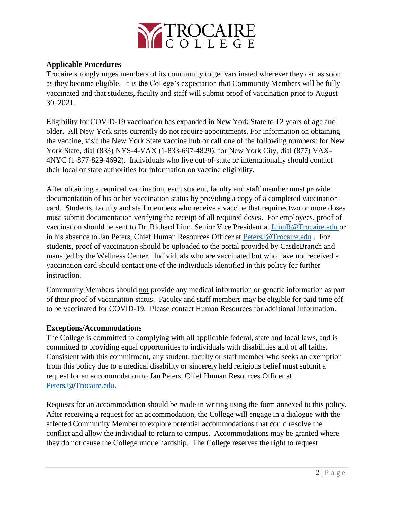

## **Applicable Procedures**

Trocaire strongly urges members of its community to get vaccinated wherever they can as soon as they become eligible. It is the College's expectation that Community Members will be fully vaccinated and that students, faculty and staff will submit proof of vaccination prior to August 30, 2021.

Eligibility for COVID-19 vaccination has expanded in New York State to 12 years of age and older. All New York sites currently do not require appointments. For information on obtaining the vaccine, visit the New York State vaccine hub or call one of the following numbers: for New York State, dial (833) NYS-4-VAX (1-833-697-4829); for New York City, dial (877) VAX-4NYC (1-877-829-4692). Individuals who live out-of-state or internationally should contact their local or state authorities for information on vaccine eligibility.

After obtaining a required vaccination, each student, faculty and staff member must provide documentation of his or her vaccination status by providing a copy of a completed vaccination card. Students, faculty and staff members who receive a vaccine that requires two or more doses must submit documentation verifying the receipt of all required doses. For employees, proof of vaccination should be sent to Dr. Richard Linn, Senior Vice President at [LinnR@Trocaire.edu](mailto:LinnR@Trocaire.edu) or in his absence to Jan Peters, Chief Human Resources Officer at [PetersJ@Trocaire.edu](mailto:PetersJ@Trocaire.edu) . For students, proof of vaccination should be uploaded to the portal provided by CastleBranch and managed by the Wellness Center. Individuals who are vaccinated but who have not received a vaccination card should contact one of the individuals identified in this policy for further instruction.

Community Members should not provide any medical information or genetic information as part of their proof of vaccination status. Faculty and staff members may be eligible for paid time off to be vaccinated for COVID-19. Please contact Human Resources for additional information.

## **Exceptions/Accommodations**

The College is committed to complying with all applicable federal, state and local laws, and is committed to providing equal opportunities to individuals with disabilities and of all faiths. Consistent with this commitment, any student, faculty or staff member who seeks an exemption from this policy due to a medical disability or sincerely held religious belief must submit a request for an accommodation to Jan Peters, Chief Human Resources Officer at [PetersJ@Trocaire.edu.](mailto:PetersJ@Trocaire.edu)

Requests for an accommodation should be made in writing using the form annexed to this policy. After receiving a request for an accommodation, the College will engage in a dialogue with the affected Community Member to explore potential accommodations that could resolve the conflict and allow the individual to return to campus. Accommodations may be granted where they do not cause the College undue hardship. The College reserves the right to request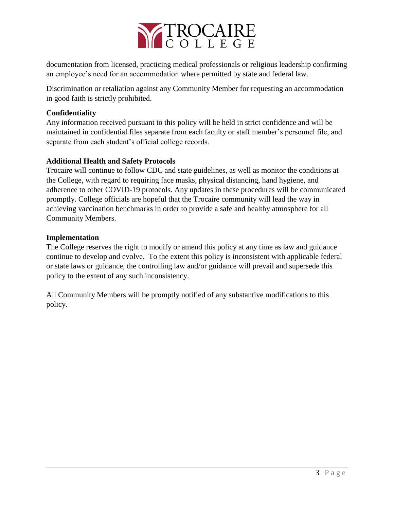

documentation from licensed, practicing medical professionals or religious leadership confirming an employee's need for an accommodation where permitted by state and federal law.

Discrimination or retaliation against any Community Member for requesting an accommodation in good faith is strictly prohibited.

# **Confidentiality**

Any information received pursuant to this policy will be held in strict confidence and will be maintained in confidential files separate from each faculty or staff member's personnel file, and separate from each student's official college records.

# **Additional Health and Safety Protocols**

Trocaire will continue to follow CDC and state guidelines, as well as monitor the conditions at the College, with regard to requiring face masks, physical distancing, hand hygiene, and adherence to other COVID-19 protocols. Any updates in these procedures will be communicated promptly. College officials are hopeful that the Trocaire community will lead the way in achieving vaccination benchmarks in order to provide a safe and healthy atmosphere for all Community Members.

## **Implementation**

The College reserves the right to modify or amend this policy at any time as law and guidance continue to develop and evolve. To the extent this policy is inconsistent with applicable federal or state laws or guidance, the controlling law and/or guidance will prevail and supersede this policy to the extent of any such inconsistency.

All Community Members will be promptly notified of any substantive modifications to this policy.